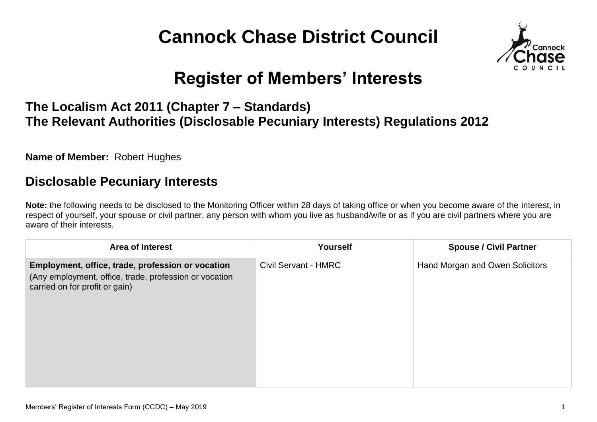# **Cannock Chase District Council**



## **Register of Members' Interests**

#### **The Localism Act 2011 (Chapter 7 – Standards) The Relevant Authorities (Disclosable Pecuniary Interests) Regulations 2012**

**Name of Member:** Robert Hughes

#### **Disclosable Pecuniary Interests**

**Note:** the following needs to be disclosed to the Monitoring Officer within 28 days of taking office or when you become aware of the interest, in respect of yourself, your spouse or civil partner, any person with whom you live as husband/wife or as if you are civil partners where you are aware of their interests.

| <b>Area of Interest</b>                                                                                                                       | <b>Yourself</b>             | <b>Spouse / Civil Partner</b>   |
|-----------------------------------------------------------------------------------------------------------------------------------------------|-----------------------------|---------------------------------|
| Employment, office, trade, profession or vocation<br>(Any employment, office, trade, profession or vocation<br>carried on for profit or gain) | <b>Civil Servant - HMRC</b> | Hand Morgan and Owen Solicitors |
|                                                                                                                                               |                             |                                 |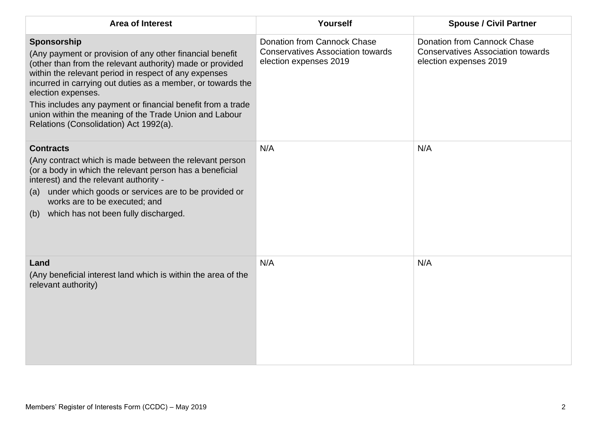| <b>Area of Interest</b>                                                                                                                                                                                                                                                                                                                                                                                                                               | Yourself                                                                                          | <b>Spouse / Civil Partner</b>                                                                            |
|-------------------------------------------------------------------------------------------------------------------------------------------------------------------------------------------------------------------------------------------------------------------------------------------------------------------------------------------------------------------------------------------------------------------------------------------------------|---------------------------------------------------------------------------------------------------|----------------------------------------------------------------------------------------------------------|
| Sponsorship<br>(Any payment or provision of any other financial benefit<br>(other than from the relevant authority) made or provided<br>within the relevant period in respect of any expenses<br>incurred in carrying out duties as a member, or towards the<br>election expenses.<br>This includes any payment or financial benefit from a trade<br>union within the meaning of the Trade Union and Labour<br>Relations (Consolidation) Act 1992(a). | Donation from Cannock Chase<br><b>Conservatives Association towards</b><br>election expenses 2019 | <b>Donation from Cannock Chase</b><br><b>Conservatives Association towards</b><br>election expenses 2019 |
| <b>Contracts</b><br>(Any contract which is made between the relevant person<br>(or a body in which the relevant person has a beneficial<br>interest) and the relevant authority -<br>under which goods or services are to be provided or<br>(a)<br>works are to be executed; and<br>which has not been fully discharged.<br>(b)                                                                                                                       | N/A                                                                                               | N/A                                                                                                      |
| Land<br>(Any beneficial interest land which is within the area of the<br>relevant authority)                                                                                                                                                                                                                                                                                                                                                          | N/A                                                                                               | N/A                                                                                                      |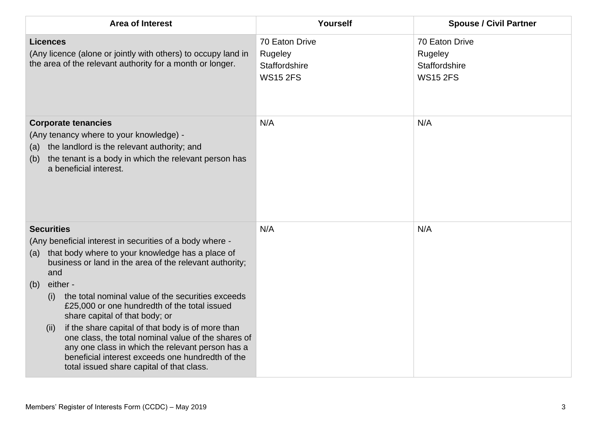| <b>Area of Interest</b>                                                                                                                                                                                                                                                                                                                                                                                                                                                                                                                                                                                                                              | Yourself                                                      | <b>Spouse / Civil Partner</b>                                 |
|------------------------------------------------------------------------------------------------------------------------------------------------------------------------------------------------------------------------------------------------------------------------------------------------------------------------------------------------------------------------------------------------------------------------------------------------------------------------------------------------------------------------------------------------------------------------------------------------------------------------------------------------------|---------------------------------------------------------------|---------------------------------------------------------------|
| <b>Licences</b><br>(Any licence (alone or jointly with others) to occupy land in<br>the area of the relevant authority for a month or longer.                                                                                                                                                                                                                                                                                                                                                                                                                                                                                                        | 70 Eaton Drive<br>Rugeley<br>Staffordshire<br><b>WS15 2FS</b> | 70 Eaton Drive<br>Rugeley<br>Staffordshire<br><b>WS15 2FS</b> |
| <b>Corporate tenancies</b><br>(Any tenancy where to your knowledge) -<br>the landlord is the relevant authority; and<br>(a)<br>the tenant is a body in which the relevant person has<br>(b)<br>a beneficial interest.                                                                                                                                                                                                                                                                                                                                                                                                                                | N/A                                                           | N/A                                                           |
| <b>Securities</b><br>(Any beneficial interest in securities of a body where -<br>that body where to your knowledge has a place of<br>(a)<br>business or land in the area of the relevant authority;<br>and<br>either -<br>(b)<br>the total nominal value of the securities exceeds<br>(i)<br>£25,000 or one hundredth of the total issued<br>share capital of that body; or<br>if the share capital of that body is of more than<br>(ii)<br>one class, the total nominal value of the shares of<br>any one class in which the relevant person has a<br>beneficial interest exceeds one hundredth of the<br>total issued share capital of that class. | N/A                                                           | N/A                                                           |